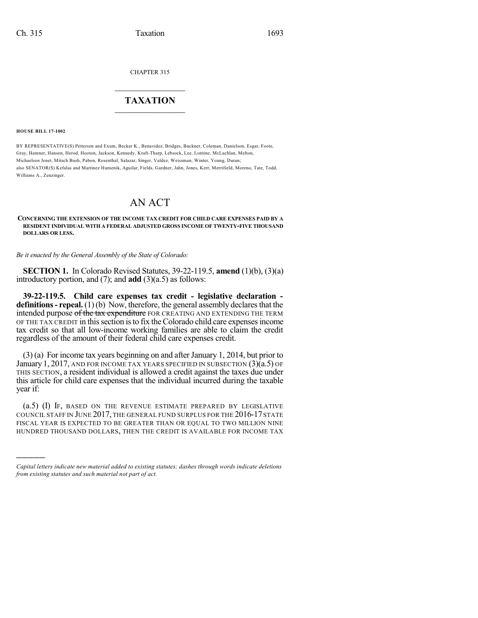CHAPTER 315

## $\overline{\phantom{a}}$  . The set of the set of the set of the set of the set of the set of the set of the set of the set of the set of the set of the set of the set of the set of the set of the set of the set of the set of the set o **TAXATION**  $\_$

**HOUSE BILL 17-1002**

)))))

BY REPRESENTATIVE(S) Pettersen and Exum, Becker K., Benavidez, Bridges, Buckner, Coleman, Danielson, Esgar, Foote, Gray, Hamner, Hansen, Herod, Hooton, Jackson, Kennedy, Kraft-Tharp, Lebsock, Lee, Lontine, McLachlan, Melton, Michaelson Jenet, Mitsch Bush, Pabon, Rosenthal, Salazar, Singer, Valdez, Weissman, Winter, Young, Duran; also SENATOR(S) Kefalas and Martinez Humenik, Aguilar, Fields, Gardner, Jahn, Jones, Kerr, Merrifield, Moreno, Tate, Todd, Williams A., Zenzinger.

## AN ACT

**CONCERNING THE EXTENSION OF THE INCOME TAX CREDIT FOR CHILD CARE EXPENSES PAID BY A RESIDENT INDIVIDUAL WITH A FEDERAL ADJUSTED GROSS INCOME OF TWENTY-FIVE THOUSAND DOLLARS OR LESS.**

*Be it enacted by the General Assembly of the State of Colorado:*

**SECTION 1.** In Colorado Revised Statutes, 39-22-119.5, **amend** (1)(b), (3)(a) introductory portion, and (7); and **add** (3)(a.5) as follows:

**39-22-119.5. Child care expenses tax credit - legislative declaration definitions - repeal.** (1)(b) Now, therefore, the general assembly declares that the intended purpose of the tax expenditure FOR CREATING AND EXTENDING THE TERM OF THE TAX CREDIT in thissection isto fix the Colorado child care expensesincome tax credit so that all low-income working families are able to claim the credit regardless of the amount of their federal child care expenses credit.

 $(3)$  (a) For income tax years beginning on and after January 1, 2014, but prior to January 1, 2017, AND FOR INCOME TAX YEARS SPECIFIED IN SUBSECTION (3)(a.5) OF THIS SECTION, a resident individual is allowed a credit against the taxes due under this article for child care expenses that the individual incurred during the taxable year if:

(a.5) (I) IF, BASED ON THE REVENUE ESTIMATE PREPARED BY LEGISLATIVE COUNCIL STAFF IN JUNE 2017, THE GENERAL FUND SURPLUS FOR THE 2016-17 STATE FISCAL YEAR IS EXPECTED TO BE GREATER THAN OR EQUAL TO TWO MILLION NINE HUNDRED THOUSAND DOLLARS, THEN THE CREDIT IS AVAILABLE FOR INCOME TAX

*Capital letters indicate new material added to existing statutes; dashes through words indicate deletions from existing statutes and such material not part of act.*